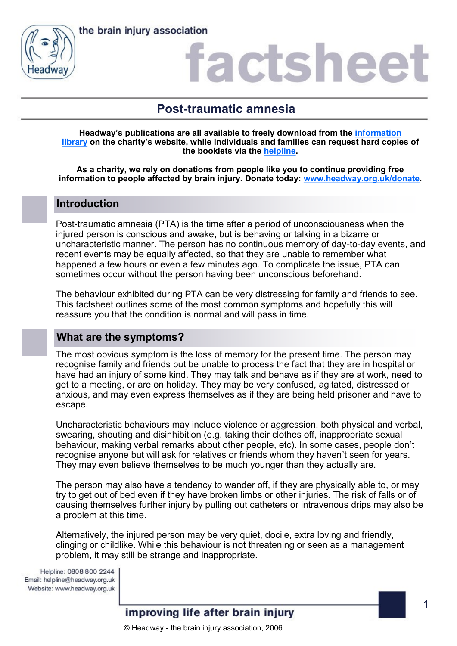



### actshee

### **Post-traumatic amnesia**

**Headway's publications are all available to freely download from the [information](https://www.headway.org.uk/about-brain-injury/individuals/information-library/)  [library](https://www.headway.org.uk/about-brain-injury/individuals/information-library/) on the charity's website, while individuals and families can request hard copies of the booklets via the [helpline.](https://www.headway.org.uk/supporting-you/helpline/)**

**As a charity, we rely on donations from people like you to continue providing free information to people affected by brain injury. Donate today: [www.headway.org.uk/donate.](http://www.headway.org.uk/donate)**

#### **Introduction**

Post-traumatic amnesia (PTA) is the time after a period of unconsciousness when the injured person is conscious and awake, but is behaving or talking in a bizarre or uncharacteristic manner. The person has no continuous memory of day-to-day events, and recent events may be equally affected, so that they are unable to remember what happened a few hours or even a few minutes ago. To complicate the issue, PTA can sometimes occur without the person having been unconscious beforehand.

The behaviour exhibited during PTA can be very distressing for family and friends to see. This factsheet outlines some of the most common symptoms and hopefully this will reassure you that the condition is normal and will pass in time.

#### **What are the symptoms?**

The most obvious symptom is the loss of memory for the present time. The person may recognise family and friends but be unable to process the fact that they are in hospital or have had an injury of some kind. They may talk and behave as if they are at work, need to get to a meeting, or are on holiday. They may be very confused, agitated, distressed or anxious, and may even express themselves as if they are being held prisoner and have to escape.

Uncharacteristic behaviours may include violence or aggression, both physical and verbal, swearing, shouting and disinhibition (e.g. taking their clothes off, inappropriate sexual behaviour, making verbal remarks about other people, etc). In some cases, people don't recognise anyone but will ask for relatives or friends whom they haven't seen for years. They may even believe themselves to be much younger than they actually are.

The person may also have a tendency to wander off, if they are physically able to, or may try to get out of bed even if they have broken limbs or other injuries. The risk of falls or of causing themselves further injury by pulling out catheters or intravenous drips may also be a problem at this time.

Alternatively, the injured person may be very quiet, docile, extra loving and friendly, clinging or childlike. While this behaviour is not threatening or seen as a management problem, it may still be strange and inappropriate.

Helpline: 0808 800 2244 Email: helpline@headway.org.uk Website: www.headway.org.uk

#### improving life after brain injury

© Headway - the brain injury association, 2006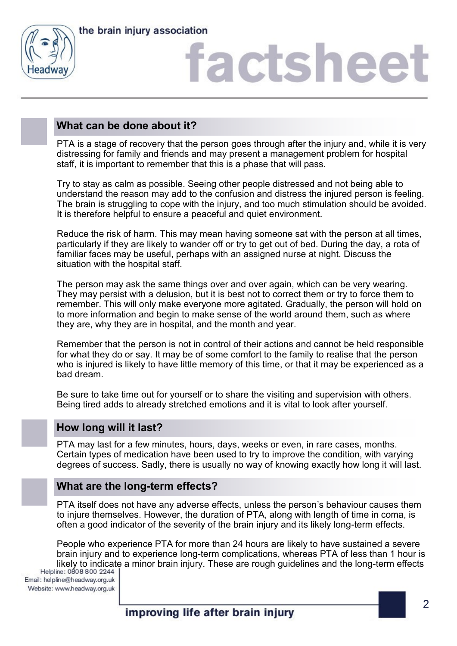



# factshee<sup>®</sup>

#### **What can be done about it?**

PTA is a stage of recovery that the person goes through after the injury and, while it is very distressing for family and friends and may present a management problem for hospital staff, it is important to remember that this is a phase that will pass.

Try to stay as calm as possible. Seeing other people distressed and not being able to understand the reason may add to the confusion and distress the injured person is feeling. The brain is struggling to cope with the injury, and too much stimulation should be avoided. It is therefore helpful to ensure a peaceful and quiet environment.

Reduce the risk of harm. This may mean having someone sat with the person at all times, particularly if they are likely to wander off or try to get out of bed. During the day, a rota of familiar faces may be useful, perhaps with an assigned nurse at night. Discuss the situation with the hospital staff.

The person may ask the same things over and over again, which can be very wearing. They may persist with a delusion, but it is best not to correct them or try to force them to remember. This will only make everyone more agitated. Gradually, the person will hold on to more information and begin to make sense of the world around them, such as where they are, why they are in hospital, and the month and year.

Remember that the person is not in control of their actions and cannot be held responsible for what they do or say. It may be of some comfort to the family to realise that the person who is injured is likely to have little memory of this time, or that it may be experienced as a bad dream.

Be sure to take time out for yourself or to share the visiting and supervision with others. Being tired adds to already stretched emotions and it is vital to look after yourself.

#### **How long will it last?**

PTA may last for a few minutes, hours, days, weeks or even, in rare cases, months. Certain types of medication have been used to try to improve the condition, with varying degrees of success. Sadly, there is usually no way of knowing exactly how long it will last.

#### **What are the long-term effects?**

PTA itself does not have any adverse effects, unless the person's behaviour causes them to injure themselves. However, the duration of PTA, along with length of time in coma, is often a good indicator of the severity of the brain injury and its likely long-term effects.

People who experience PTA for more than 24 hours are likely to have sustained a severe brain injury and to experience long-term complications, whereas PTA of less than 1 hour is likely to indicate a minor brain injury. These are rough guidelines and the long-term effects<br>Helpline: 0808 800 2244 |

Email: helpline@headway.org.uk Website: www.headway.org.uk